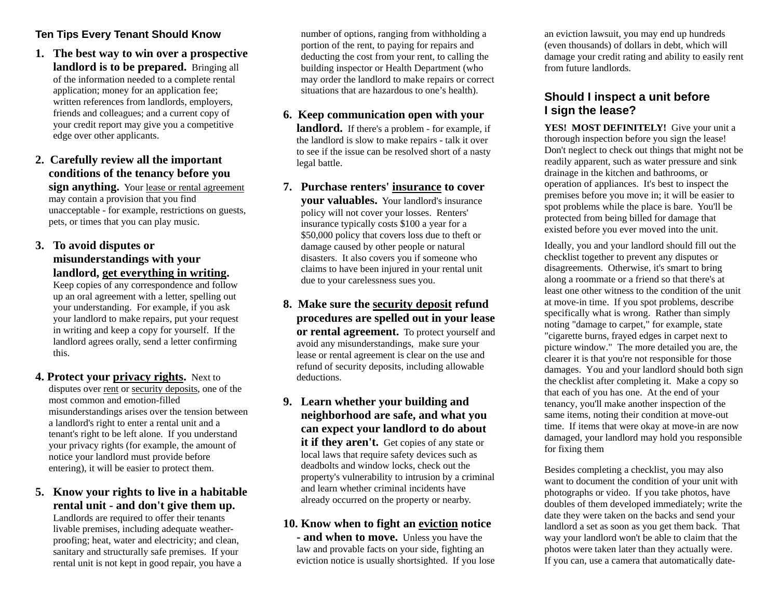# **Ten Tips Every Tenant Should Know**

**1. The best way to win over a prospective landlord is to be prepared.** Bringing all of the information needed to a complete rental application; money for an application fee; written references from landlords, employers, friends and colleagues; and a current copy of your credit report may give you a competitive edge over other applicants.

# **2. Carefully review all the important conditions of the tenancy before you**

**sign anything.** Your lease or rental agreement may contain a provision that you find unacceptable - for example, restrictions on guests, pets, or times that you can play music.

# **3. To avoid disputes or misunderstandings with your landlord, get everything in writing.**

Keep copies of any correspondence and follow up an oral agreement with a letter, spelling out your understanding. For example, if you ask your landlord to make repairs, put your request in writing and keep a copy for yourself. If the landlord agrees orally, send a letter confirming this.

- **4. Protect your privacy rights.** Next to disputes over rent or security deposits, one of the most common and emotion-filled misunderstandings arises over the tension between a landlord's right to enter a rental unit and a tenant's right to be left alone. If you understand your privacy rights (for example, the amount of notice your landlord must provide before entering), it will be easier to protect them.
- **5. Know your rights to live in a habitable rental unit - and don't give them up.**

Landlords are required to offer their tenants livable premises, including adequate weatherproofing; heat, water and electricity; and clean, sanitary and structurally safe premises. If your rental unit is not kept in good repair, you have a number of options, ranging from withholding a portion of the rent, to paying for repairs and deducting the cost from your rent, to calling the building inspector or Health Department (who may order the landlord to make repairs or correct situations that are hazardous to one's health).

#### **6. Keep communication open with your landlord.** If there's a problem - for example, if the landlord is slow to make repairs - talk it over to see if the issue can be resolved short of a nasty legal battle.

- **7. Purchase renters' insurance to cover your valuables.** Your landlord's insurance policy will not cover your losses. Renters' insurance typically costs \$100 a year for a \$50,000 policy that covers loss due to theft or damage caused by other people or natural disasters. It also covers you if someone who claims to have been injured in your rental unit due to your carelessness sues you.
- **8. Make sure the security deposit refund procedures are spelled out in your lease or rental agreement.** To protect yourself and avoid any misunderstandings, make sure your lease or rental agreement is clear on the use and refund of security deposits, including allowable deductions.
- **9. Learn whether your building and neighborhood are safe, and what you can expect your landlord to do about**  it if they aren't. Get copies of any state or local laws that require safety devices such as deadbolts and window locks, check out the property's vulnerability to intrusion by a criminal and learn whether criminal incidents have already occurred on the property or nearby.

# **10. Know when to fight an eviction notice**

**- and when to move.** Unless you have the law and provable facts on your side, fighting an eviction notice is usually shortsighted. If you lose an eviction lawsuit, you may end up hundreds (even thousands) of dollars in debt, which will damage your credit rating and ability to easily rent from future landlords.

# **Should I inspect a unit before I sign the lease?**

YES! MOST DEFINITELY! Give your unit a thorough inspection before you sign the lease! Don't neglect to check out things that might not be readily apparent, such as water pressure and sink drainage in the kitchen and bathrooms, or operation of appliances. It's best to inspect the premises before you move in; it will be easier to spot problems while the place is bare. You'll be protected from being billed for damage that existed before you ever moved into the unit.

Ideally, you and your landlord should fill out the checklist together to prevent any disputes or disagreements. Otherwise, it's smart to bring along a roommate or a friend so that there's at least one other witness to the condition of the unit at move-in time. If you spot problems, describe specifically what is wrong. Rather than simply noting "damage to carpet," for example, state "cigarette burns, frayed edges in carpet next to picture window." The more detailed you are, the clearer it is that you're not responsible for those damages. You and your landlord should both sign the checklist after completing it. Make a copy so that each of you has one. At the end of your tenancy, you'll make another inspection of the same items, noting their condition at move-out time. If items that were okay at move-in are now damaged, your landlord may hold you responsible for fixing them

Besides completing a checklist, you may also want to document the condition of your unit with photographs or video. If you take photos, have doubles of them developed immediately; write the date they were taken on the backs and send your landlord a set as soon as you get them back. That way your landlord won't be able to claim that the photos were taken later than they actually were. If you can, use a camera that automatically date-